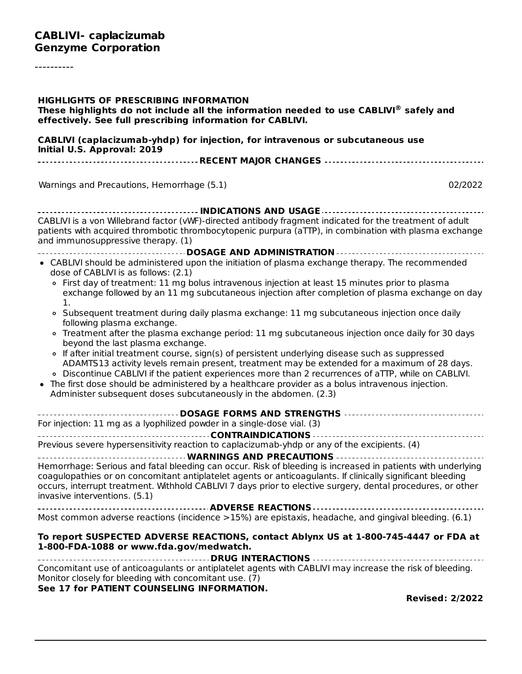----------

| <b>HIGHLIGHTS OF PRESCRIBING INFORMATION</b><br>These highlights do not include all the information needed to use CABLIVI® safely and<br>effectively. See full prescribing information for CABLIVI.                                                                                                                                                                                                                                                                               |
|-----------------------------------------------------------------------------------------------------------------------------------------------------------------------------------------------------------------------------------------------------------------------------------------------------------------------------------------------------------------------------------------------------------------------------------------------------------------------------------|
| CABLIVI (caplacizumab-yhdp) for injection, for intravenous or subcutaneous use<br>Initial U.S. Approval: 2019                                                                                                                                                                                                                                                                                                                                                                     |
| ------------------------------------RECENT MAJOR CHANGES ----------------------------------                                                                                                                                                                                                                                                                                                                                                                                       |
| 02/2022<br>Warnings and Precautions, Hemorrhage (5.1)                                                                                                                                                                                                                                                                                                                                                                                                                             |
| CABLIVI is a von Willebrand factor (vWF)-directed antibody fragment indicated for the treatment of adult<br>patients with acquired thrombotic thrombocytopenic purpura (aTTP), in combination with plasma exchange<br>and immunosuppressive therapy. (1)                                                                                                                                                                                                                          |
|                                                                                                                                                                                                                                                                                                                                                                                                                                                                                   |
| • CABLIVI should be administered upon the initiation of plasma exchange therapy. The recommended<br>dose of CABLIVI is as follows: (2.1)                                                                                                                                                                                                                                                                                                                                          |
| • First day of treatment: 11 mg bolus intravenous injection at least 15 minutes prior to plasma<br>exchange followed by an 11 mg subcutaneous injection after completion of plasma exchange on day<br>1.                                                                                                                                                                                                                                                                          |
| o Subsequent treatment during daily plasma exchange: 11 mg subcutaneous injection once daily<br>following plasma exchange.                                                                                                                                                                                                                                                                                                                                                        |
| o Treatment after the plasma exchange period: 11 mg subcutaneous injection once daily for 30 days<br>beyond the last plasma exchange.                                                                                                                                                                                                                                                                                                                                             |
| • If after initial treatment course, sign(s) of persistent underlying disease such as suppressed<br>ADAMTS13 activity levels remain present, treatment may be extended for a maximum of 28 days.<br>. Discontinue CABLIVI if the patient experiences more than 2 recurrences of aTTP, while on CABLIVI.<br>• The first dose should be administered by a healthcare provider as a bolus intravenous injection.<br>Administer subsequent doses subcutaneously in the abdomen. (2.3) |
|                                                                                                                                                                                                                                                                                                                                                                                                                                                                                   |
| For injection: 11 mg as a lyophilized powder in a single-dose vial. (3)                                                                                                                                                                                                                                                                                                                                                                                                           |
|                                                                                                                                                                                                                                                                                                                                                                                                                                                                                   |
| Previous severe hypersensitivity reaction to caplacizumab-yhdp or any of the excipients. (4)                                                                                                                                                                                                                                                                                                                                                                                      |
| Hemorrhage: Serious and fatal bleeding can occur. Risk of bleeding is increased in patients with underlying<br>coagulopathies or on concomitant antiplatelet agents or anticoagulants. If clinically significant bleeding<br>occurs, interrupt treatment. Withhold CABLIVI 7 days prior to elective surgery, dental procedures, or other<br>invasive interventions. (5.1)                                                                                                         |
| Most common adverse reactions (incidence >15%) are epistaxis, headache, and gingival bleeding. (6.1)                                                                                                                                                                                                                                                                                                                                                                              |
|                                                                                                                                                                                                                                                                                                                                                                                                                                                                                   |
| To report SUSPECTED ADVERSE REACTIONS, contact Ablynx US at 1-800-745-4447 or FDA at<br>1-800-FDA-1088 or www.fda.gov/medwatch.                                                                                                                                                                                                                                                                                                                                                   |
| Concomitant use of anticoagulants or antiplatelet agents with CABLIVI may increase the risk of bleeding.<br>Monitor closely for bleeding with concomitant use. (7)<br>See 17 for PATIENT COUNSELING INFORMATION.                                                                                                                                                                                                                                                                  |
| <b>Revised: 2/2022</b>                                                                                                                                                                                                                                                                                                                                                                                                                                                            |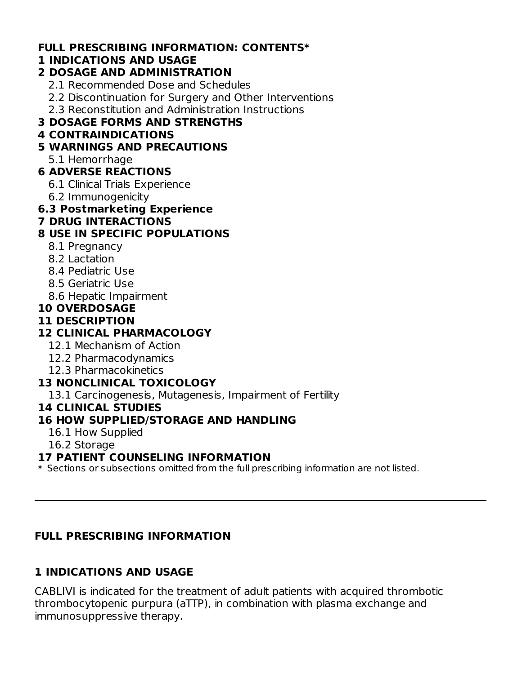#### **FULL PRESCRIBING INFORMATION: CONTENTS\***

### **1 INDICATIONS AND USAGE**

#### **2 DOSAGE AND ADMINISTRATION**

- 2.1 Recommended Dose and Schedules
- 2.2 Discontinuation for Surgery and Other Interventions
- 2.3 Reconstitution and Administration Instructions

## **3 DOSAGE FORMS AND STRENGTHS**

## **4 CONTRAINDICATIONS**

## **5 WARNINGS AND PRECAUTIONS**

5.1 Hemorrhage

## **6 ADVERSE REACTIONS**

- 6.1 Clinical Trials Experience
- 6.2 Immunogenicity

## **6.3 Postmarketing Experience**

**7 DRUG INTERACTIONS**

## **8 USE IN SPECIFIC POPULATIONS**

- 8.1 Pregnancy
- 8.2 Lactation
- 8.4 Pediatric Use
- 8.5 Geriatric Use
- 8.6 Hepatic Impairment

## **10 OVERDOSAGE**

## **11 DESCRIPTION**

## **12 CLINICAL PHARMACOLOGY**

- 12.1 Mechanism of Action
- 12.2 Pharmacodynamics
- 12.3 Pharmacokinetics

## **13 NONCLINICAL TOXICOLOGY**

13.1 Carcinogenesis, Mutagenesis, Impairment of Fertility

### **14 CLINICAL STUDIES**

## **16 HOW SUPPLIED/STORAGE AND HANDLING**

- 16.1 How Supplied
- 16.2 Storage

### **17 PATIENT COUNSELING INFORMATION**

 $\ast$  Sections or subsections omitted from the full prescribing information are not listed.

## **FULL PRESCRIBING INFORMATION**

## **1 INDICATIONS AND USAGE**

CABLIVI is indicated for the treatment of adult patients with acquired thrombotic thrombocytopenic purpura (aTTP), in combination with plasma exchange and immunosuppressive therapy.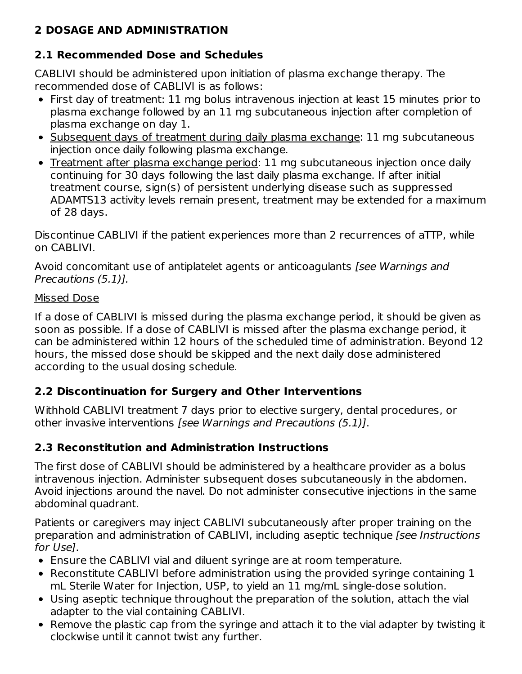## **2 DOSAGE AND ADMINISTRATION**

# **2.1 Recommended Dose and Schedules**

CABLIVI should be administered upon initiation of plasma exchange therapy. The recommended dose of CABLIVI is as follows:

- First day of treatment: 11 mg bolus intravenous injection at least 15 minutes prior to plasma exchange followed by an 11 mg subcutaneous injection after completion of plasma exchange on day 1.
- Subsequent days of treatment during daily plasma exchange: 11 mg subcutaneous injection once daily following plasma exchange.
- Treatment after plasma exchange period: 11 mg subcutaneous injection once daily continuing for 30 days following the last daily plasma exchange. If after initial treatment course, sign(s) of persistent underlying disease such as suppressed ADAMTS13 activity levels remain present, treatment may be extended for a maximum of 28 days.

Discontinue CABLIVI if the patient experiences more than 2 recurrences of aTTP, while on CABLIVI.

Avoid concomitant use of antiplatelet agents or anticoagulants [see Warnings and Precautions (5.1)].

### Missed Dose

If a dose of CABLIVI is missed during the plasma exchange period, it should be given as soon as possible. If a dose of CABLIVI is missed after the plasma exchange period, it can be administered within 12 hours of the scheduled time of administration. Beyond 12 hours, the missed dose should be skipped and the next daily dose administered according to the usual dosing schedule.

## **2.2 Discontinuation for Surgery and Other Interventions**

Withhold CABLIVI treatment 7 days prior to elective surgery, dental procedures, or other invasive interventions [see Warnings and Precautions (5.1)].

## **2.3 Reconstitution and Administration Instructions**

The first dose of CABLIVI should be administered by a healthcare provider as a bolus intravenous injection. Administer subsequent doses subcutaneously in the abdomen. Avoid injections around the navel. Do not administer consecutive injections in the same abdominal quadrant.

Patients or caregivers may inject CABLIVI subcutaneously after proper training on the preparation and administration of CABLIVI, including aseptic technique [see Instructions for Use].

- Ensure the CABLIVI vial and diluent syringe are at room temperature.
- Reconstitute CABLIVI before administration using the provided syringe containing 1 mL Sterile Water for Injection, USP, to yield an 11 mg/mL single-dose solution.
- Using aseptic technique throughout the preparation of the solution, attach the vial adapter to the vial containing CABLIVI.
- Remove the plastic cap from the syringe and attach it to the vial adapter by twisting it clockwise until it cannot twist any further.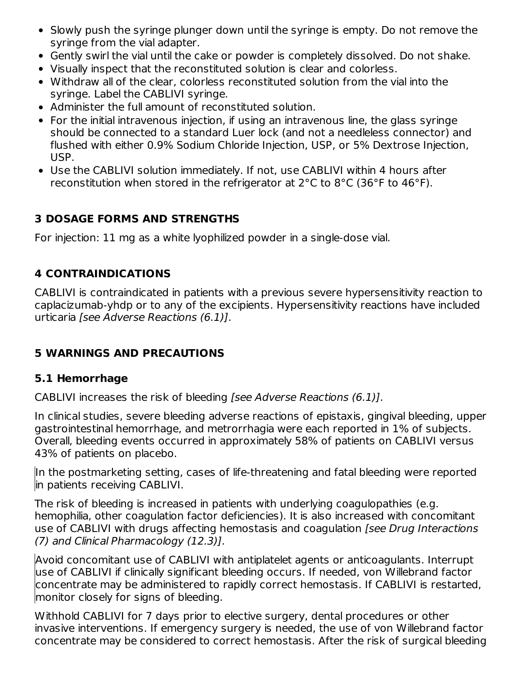- Slowly push the syringe plunger down until the syringe is empty. Do not remove the syringe from the vial adapter.
- Gently swirl the vial until the cake or powder is completely dissolved. Do not shake.
- Visually inspect that the reconstituted solution is clear and colorless.
- Withdraw all of the clear, colorless reconstituted solution from the vial into the syringe. Label the CABLIVI syringe.
- Administer the full amount of reconstituted solution.
- For the initial intravenous injection, if using an intravenous line, the glass syringe should be connected to a standard Luer lock (and not a needleless connector) and flushed with either 0.9% Sodium Chloride Injection, USP, or 5% Dextrose Injection, USP.
- Use the CABLIVI solution immediately. If not, use CABLIVI within 4 hours after reconstitution when stored in the refrigerator at 2°C to 8°C (36°F to 46°F).

# **3 DOSAGE FORMS AND STRENGTHS**

For injection: 11 mg as a white lyophilized powder in a single-dose vial.

## **4 CONTRAINDICATIONS**

CABLIVI is contraindicated in patients with a previous severe hypersensitivity reaction to caplacizumab-yhdp or to any of the excipients. Hypersensitivity reactions have included urticaria [see Adverse Reactions (6.1)].

# **5 WARNINGS AND PRECAUTIONS**

## **5.1 Hemorrhage**

CABLIVI increases the risk of bleeding [see Adverse Reactions (6.1)].

In clinical studies, severe bleeding adverse reactions of epistaxis, gingival bleeding, upper gastrointestinal hemorrhage, and metrorrhagia were each reported in 1% of subjects. Overall, bleeding events occurred in approximately 58% of patients on CABLIVI versus 43% of patients on placebo.

In the postmarketing setting, cases of life-threatening and fatal bleeding were reported in patients receiving CABLIVI.

The risk of bleeding is increased in patients with underlying coagulopathies (e.g. hemophilia, other coagulation factor deficiencies). It is also increased with concomitant use of CABLIVI with drugs affecting hemostasis and coagulation [see Drug Interactions (7) and Clinical Pharmacology (12.3)].

Avoid concomitant use of CABLIVI with antiplatelet agents or anticoagulants. Interrupt use of CABLIVI if clinically significant bleeding occurs. If needed, von Willebrand factor concentrate may be administered to rapidly correct hemostasis. If CABLIVI is restarted, monitor closely for signs of bleeding.

Withhold CABLIVI for 7 days prior to elective surgery, dental procedures or other invasive interventions. If emergency surgery is needed, the use of von Willebrand factor concentrate may be considered to correct hemostasis. After the risk of surgical bleeding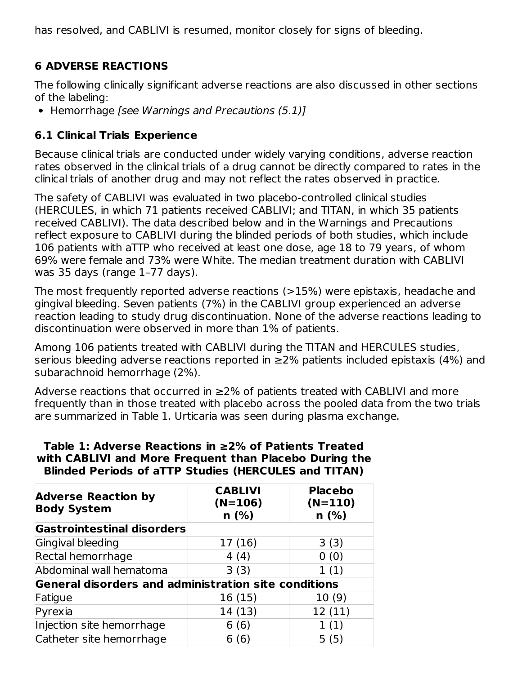has resolved, and CABLIVI is resumed, monitor closely for signs of bleeding.

## **6 ADVERSE REACTIONS**

The following clinically significant adverse reactions are also discussed in other sections of the labeling:

• Hemorrhage [see Warnings and Precautions (5.1)]

### **6.1 Clinical Trials Experience**

Because clinical trials are conducted under widely varying conditions, adverse reaction rates observed in the clinical trials of a drug cannot be directly compared to rates in the clinical trials of another drug and may not reflect the rates observed in practice.

The safety of CABLIVI was evaluated in two placebo-controlled clinical studies (HERCULES, in which 71 patients received CABLIVI; and TITAN, in which 35 patients received CABLIVI). The data described below and in the Warnings and Precautions reflect exposure to CABLIVI during the blinded periods of both studies, which include 106 patients with aTTP who received at least one dose, age 18 to 79 years, of whom 69% were female and 73% were White. The median treatment duration with CABLIVI was 35 days (range 1–77 days).

The most frequently reported adverse reactions (>15%) were epistaxis, headache and gingival bleeding. Seven patients (7%) in the CABLIVI group experienced an adverse reaction leading to study drug discontinuation. None of the adverse reactions leading to discontinuation were observed in more than 1% of patients.

Among 106 patients treated with CABLIVI during the TITAN and HERCULES studies, serious bleeding adverse reactions reported in  $\geq$ 2% patients included epistaxis (4%) and subarachnoid hemorrhage (2%).

Adverse reactions that occurred in ≥2% of patients treated with CABLIVI and more frequently than in those treated with placebo across the pooled data from the two trials are summarized in Table 1. Urticaria was seen during plasma exchange.

#### **Table 1: Adverse Reactions in ≥2% of Patients Treated with CABLIVI and More Frequent than Placebo During the Blinded Periods of aTTP Studies (HERCULES and TITAN)**

| <b>Adverse Reaction by</b><br><b>Body System</b>            | <b>CABLIVI</b><br>$(N=106)$<br>$n$ (%) | <b>Placebo</b><br>$(N=110)$<br>n(%) |  |  |  |
|-------------------------------------------------------------|----------------------------------------|-------------------------------------|--|--|--|
| <b>Gastrointestinal disorders</b>                           |                                        |                                     |  |  |  |
| Gingival bleeding                                           | 17 (16)                                | 3(3)                                |  |  |  |
| Rectal hemorrhage                                           | 4(4)                                   | 0(0)                                |  |  |  |
| Abdominal wall hematoma                                     | 3(3)                                   | 1(1)                                |  |  |  |
| <b>General disorders and administration site conditions</b> |                                        |                                     |  |  |  |
| Fatigue                                                     | 16 (15)                                | 10(9)                               |  |  |  |
| Pyrexia                                                     | 14 (13)                                | 12(11)                              |  |  |  |
| Injection site hemorrhage                                   | 6(6)                                   | 1(1)                                |  |  |  |
| Catheter site hemorrhage                                    | 6 (6)                                  | 5(5)                                |  |  |  |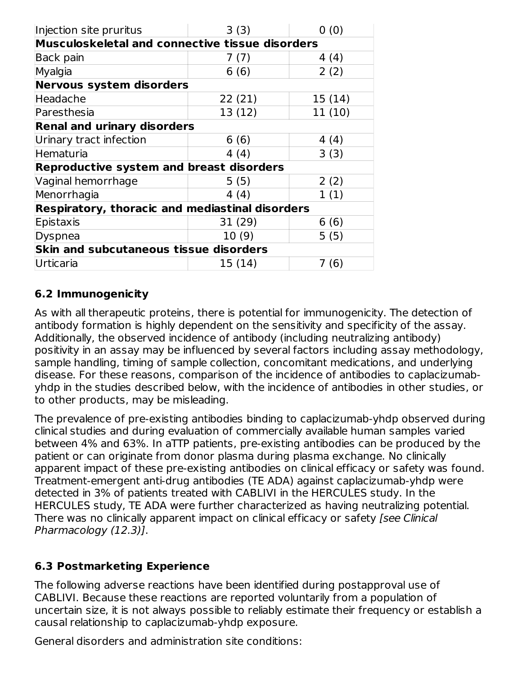| Injection site pruritus                                | 3(3)    | 0(0)   |  |  |  |
|--------------------------------------------------------|---------|--------|--|--|--|
| Musculoskeletal and connective tissue disorders        |         |        |  |  |  |
| Back pain                                              | 7(7)    | 4 (4)  |  |  |  |
| Myalgia                                                | 6(6)    | 2(2)   |  |  |  |
| Nervous system disorders                               |         |        |  |  |  |
| Headache                                               | 22(21)  | 15(14) |  |  |  |
| Paresthesia                                            | 13 (12) | 11(10) |  |  |  |
| <b>Renal and urinary disorders</b>                     |         |        |  |  |  |
| Urinary tract infection                                | 6(6)    | 4 (4)  |  |  |  |
| Hematuria                                              | 4(4)    | 3(3)   |  |  |  |
| <b>Reproductive system and breast disorders</b>        |         |        |  |  |  |
| Vaginal hemorrhage                                     | 5(5)    | 2(2)   |  |  |  |
| Menorrhagia                                            | 4(4)    | 1(1)   |  |  |  |
| <b>Respiratory, thoracic and mediastinal disorders</b> |         |        |  |  |  |
| Epistaxis                                              | 31 (29) | 6(6)   |  |  |  |
| Dyspnea                                                | 10(9)   | 5(5)   |  |  |  |
| <b>Skin and subcutaneous tissue disorders</b>          |         |        |  |  |  |
| Urticaria                                              | 15 (14) | 7 (6)  |  |  |  |

### **6.2 Immunogenicity**

As with all therapeutic proteins, there is potential for immunogenicity. The detection of antibody formation is highly dependent on the sensitivity and specificity of the assay. Additionally, the observed incidence of antibody (including neutralizing antibody) positivity in an assay may be influenced by several factors including assay methodology, sample handling, timing of sample collection, concomitant medications, and underlying disease. For these reasons, comparison of the incidence of antibodies to caplacizumabyhdp in the studies described below, with the incidence of antibodies in other studies, or to other products, may be misleading.

The prevalence of pre-existing antibodies binding to caplacizumab-yhdp observed during clinical studies and during evaluation of commercially available human samples varied between 4% and 63%. In aTTP patients, pre-existing antibodies can be produced by the patient or can originate from donor plasma during plasma exchange. No clinically apparent impact of these pre-existing antibodies on clinical efficacy or safety was found. Treatment-emergent anti-drug antibodies (TE ADA) against caplacizumab-yhdp were detected in 3% of patients treated with CABLIVI in the HERCULES study. In the HERCULES study, TE ADA were further characterized as having neutralizing potential. There was no clinically apparent impact on clinical efficacy or safety [see Clinical Pharmacology (12.3)].

### **6.3 Postmarketing Experience**

The following adverse reactions have been identified during postapproval use of CABLIVI. Because these reactions are reported voluntarily from a population of uncertain size, it is not always possible to reliably estimate their frequency or establish a causal relationship to caplacizumab-yhdp exposure.

General disorders and administration site conditions: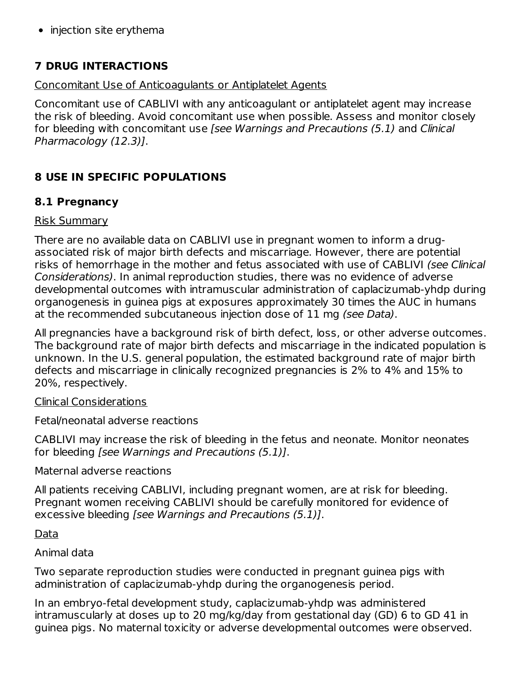• injection site erythema

### **7 DRUG INTERACTIONS**

#### Concomitant Use of Anticoagulants or Antiplatelet Agents

Concomitant use of CABLIVI with any anticoagulant or antiplatelet agent may increase the risk of bleeding. Avoid concomitant use when possible. Assess and monitor closely for bleeding with concomitant use [see Warnings and Precautions (5.1) and Clinical Pharmacology (12.3)].

## **8 USE IN SPECIFIC POPULATIONS**

### **8.1 Pregnancy**

#### Risk Summary

There are no available data on CABLIVI use in pregnant women to inform a drugassociated risk of major birth defects and miscarriage. However, there are potential risks of hemorrhage in the mother and fetus associated with use of CABLIVI (see Clinical Considerations). In animal reproduction studies, there was no evidence of adverse developmental outcomes with intramuscular administration of caplacizumab-yhdp during organogenesis in guinea pigs at exposures approximately 30 times the AUC in humans at the recommended subcutaneous injection dose of 11 mg (see Data).

All pregnancies have a background risk of birth defect, loss, or other adverse outcomes. The background rate of major birth defects and miscarriage in the indicated population is unknown. In the U.S. general population, the estimated background rate of major birth defects and miscarriage in clinically recognized pregnancies is 2% to 4% and 15% to 20%, respectively.

#### Clinical Considerations

Fetal/neonatal adverse reactions

CABLIVI may increase the risk of bleeding in the fetus and neonate. Monitor neonates for bleeding [see Warnings and Precautions (5.1)].

Maternal adverse reactions

All patients receiving CABLIVI, including pregnant women, are at risk for bleeding. Pregnant women receiving CABLIVI should be carefully monitored for evidence of excessive bleeding [see Warnings and Precautions (5.1)].

#### Data

#### Animal data

Two separate reproduction studies were conducted in pregnant guinea pigs with administration of caplacizumab-yhdp during the organogenesis period.

In an embryo-fetal development study, caplacizumab-yhdp was administered intramuscularly at doses up to 20 mg/kg/day from gestational day (GD) 6 to GD 41 in guinea pigs. No maternal toxicity or adverse developmental outcomes were observed.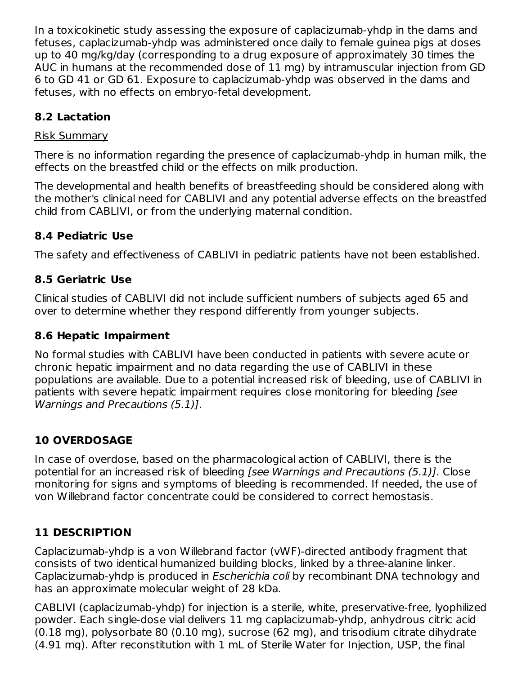In a toxicokinetic study assessing the exposure of caplacizumab-yhdp in the dams and fetuses, caplacizumab-yhdp was administered once daily to female guinea pigs at doses up to 40 mg/kg/day (corresponding to a drug exposure of approximately 30 times the AUC in humans at the recommended dose of 11 mg) by intramuscular injection from GD 6 to GD 41 or GD 61. Exposure to caplacizumab-yhdp was observed in the dams and fetuses, with no effects on embryo-fetal development.

## **8.2 Lactation**

#### Risk Summary

There is no information regarding the presence of caplacizumab-yhdp in human milk, the effects on the breastfed child or the effects on milk production.

The developmental and health benefits of breastfeeding should be considered along with the mother's clinical need for CABLIVI and any potential adverse effects on the breastfed child from CABLIVI, or from the underlying maternal condition.

### **8.4 Pediatric Use**

The safety and effectiveness of CABLIVI in pediatric patients have not been established.

### **8.5 Geriatric Use**

Clinical studies of CABLIVI did not include sufficient numbers of subjects aged 65 and over to determine whether they respond differently from younger subjects.

### **8.6 Hepatic Impairment**

No formal studies with CABLIVI have been conducted in patients with severe acute or chronic hepatic impairment and no data regarding the use of CABLIVI in these populations are available. Due to a potential increased risk of bleeding, use of CABLIVI in patients with severe hepatic impairment requires close monitoring for bleeding [see Warnings and Precautions (5.1)].

## **10 OVERDOSAGE**

In case of overdose, based on the pharmacological action of CABLIVI, there is the potential for an increased risk of bleeding [see Warnings and Precautions (5.1)]. Close monitoring for signs and symptoms of bleeding is recommended. If needed, the use of von Willebrand factor concentrate could be considered to correct hemostasis.

## **11 DESCRIPTION**

Caplacizumab-yhdp is a von Willebrand factor (vWF)-directed antibody fragment that consists of two identical humanized building blocks, linked by a three-alanine linker. Caplacizumab-yhdp is produced in Escherichia coli by recombinant DNA technology and has an approximate molecular weight of 28 kDa.

CABLIVI (caplacizumab-yhdp) for injection is a sterile, white, preservative-free, lyophilized powder. Each single-dose vial delivers 11 mg caplacizumab-yhdp, anhydrous citric acid (0.18 mg), polysorbate 80 (0.10 mg), sucrose (62 mg), and trisodium citrate dihydrate (4.91 mg). After reconstitution with 1 mL of Sterile Water for Injection, USP, the final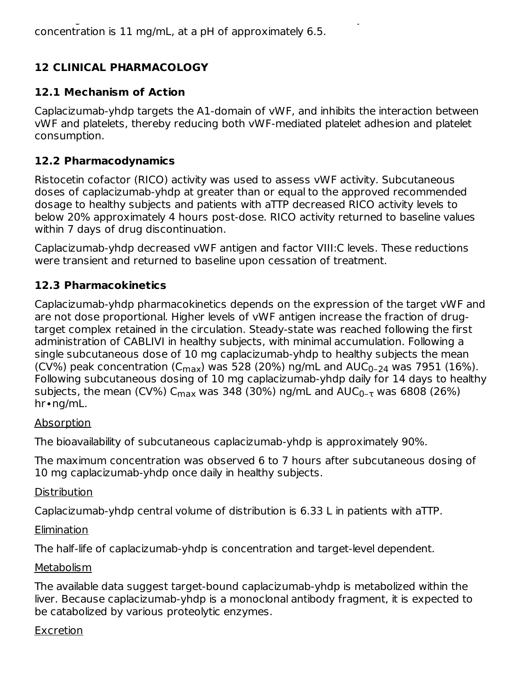# **12 CLINICAL PHARMACOLOGY**

## **12.1 Mechanism of Action**

Caplacizumab-yhdp targets the A1-domain of vWF, and inhibits the interaction between vWF and platelets, thereby reducing both vWF-mediated platelet adhesion and platelet consumption.

## **12.2 Pharmacodynamics**

Ristocetin cofactor (RICO) activity was used to assess vWF activity. Subcutaneous doses of caplacizumab-yhdp at greater than or equal to the approved recommended dosage to healthy subjects and patients with aTTP decreased RICO activity levels to below 20% approximately 4 hours post-dose. RICO activity returned to baseline values within 7 days of drug discontinuation.

Caplacizumab-yhdp decreased vWF antigen and factor VIII:C levels. These reductions were transient and returned to baseline upon cessation of treatment.

## **12.3 Pharmacokinetics**

Caplacizumab-yhdp pharmacokinetics depends on the expression of the target vWF and are not dose proportional. Higher levels of vWF antigen increase the fraction of drugtarget complex retained in the circulation. Steady-state was reached following the first administration of CABLIVI in healthy subjects, with minimal accumulation. Following a single subcutaneous dose of 10 mg caplacizumab-yhdp to healthy subjects the mean (CV%) peak concentration (C $_{\rm max}$ ) was 528 (20%) ng/mL and AUC $_{\rm 0-24}$  was 7951 (16%). Following subcutaneous dosing of 10 mg caplacizumab-yhdp daily for 14 days to healthy subjects, the mean (CV%) C<sub>max</sub> was 348 (30%) ng/mL and AUC<sub>0-τ</sub> was 6808 (26%) hr∙ng/mL.

#### Absorption

The bioavailability of subcutaneous caplacizumab-yhdp is approximately 90%.

The maximum concentration was observed 6 to 7 hours after subcutaneous dosing of 10 mg caplacizumab-yhdp once daily in healthy subjects.

### **Distribution**

Caplacizumab-yhdp central volume of distribution is 6.33 L in patients with aTTP.

### Elimination

The half-life of caplacizumab-yhdp is concentration and target-level dependent.

### Metabolism

The available data suggest target-bound caplacizumab-yhdp is metabolized within the liver. Because caplacizumab-yhdp is a monoclonal antibody fragment, it is expected to be catabolized by various proteolytic enzymes.

### Excretion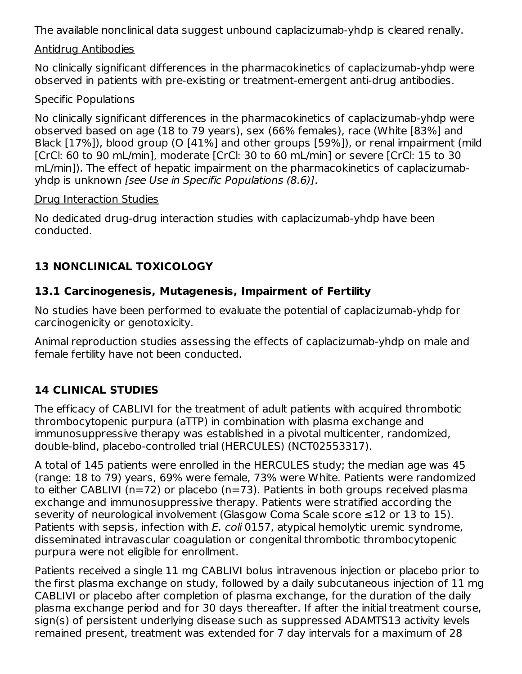The available nonclinical data suggest unbound caplacizumab-yhdp is cleared renally.

#### Antidrug Antibodies

No clinically significant differences in the pharmacokinetics of caplacizumab-yhdp were observed in patients with pre-existing or treatment-emergent anti-drug antibodies.

### Specific Populations

No clinically significant differences in the pharmacokinetics of caplacizumab-yhdp were observed based on age (18 to 79 years), sex (66% females), race (White [83%] and Black [17%]), blood group (O [41%] and other groups [59%]), or renal impairment (mild [CrCl: 60 to 90 mL/min], moderate [CrCl: 30 to 60 mL/min] or severe [CrCl: 15 to 30 mL/min]). The effect of hepatic impairment on the pharmacokinetics of caplacizumabyhdp is unknown [see Use in Specific Populations (8.6)].

#### Drug Interaction Studies

No dedicated drug-drug interaction studies with caplacizumab-yhdp have been conducted.

# **13 NONCLINICAL TOXICOLOGY**

## **13.1 Carcinogenesis, Mutagenesis, Impairment of Fertility**

No studies have been performed to evaluate the potential of caplacizumab-yhdp for carcinogenicity or genotoxicity.

Animal reproduction studies assessing the effects of caplacizumab-yhdp on male and female fertility have not been conducted.

# **14 CLINICAL STUDIES**

The efficacy of CABLIVI for the treatment of adult patients with acquired thrombotic thrombocytopenic purpura (aTTP) in combination with plasma exchange and immunosuppressive therapy was established in a pivotal multicenter, randomized, double-blind, placebo-controlled trial (HERCULES) (NCT02553317).

A total of 145 patients were enrolled in the HERCULES study; the median age was 45 (range: 18 to 79) years, 69% were female, 73% were White. Patients were randomized to either CABLIVI (n=72) or placebo (n=73). Patients in both groups received plasma exchange and immunosuppressive therapy. Patients were stratified according the severity of neurological involvement (Glasgow Coma Scale score ≤12 or 13 to 15). Patients with sepsis, infection with E. coli 0157, atypical hemolytic uremic syndrome, disseminated intravascular coagulation or congenital thrombotic thrombocytopenic purpura were not eligible for enrollment.

Patients received a single 11 mg CABLIVI bolus intravenous injection or placebo prior to the first plasma exchange on study, followed by a daily subcutaneous injection of 11 mg CABLIVI or placebo after completion of plasma exchange, for the duration of the daily plasma exchange period and for 30 days thereafter. If after the initial treatment course, sign(s) of persistent underlying disease such as suppressed ADAMTS13 activity levels remained present, treatment was extended for 7 day intervals for a maximum of 28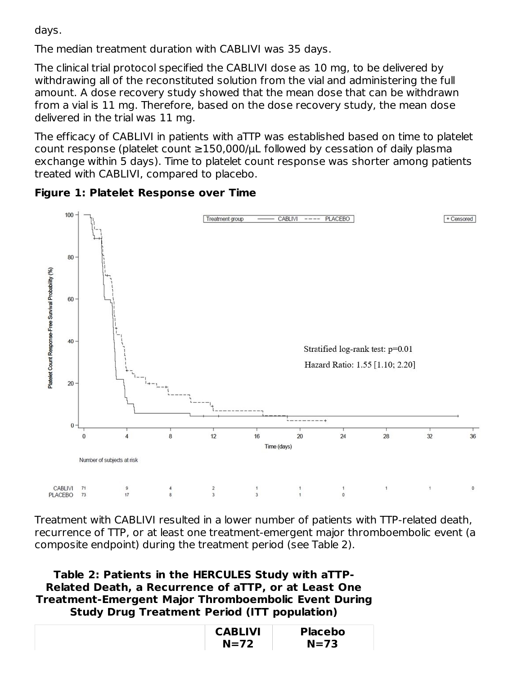days.

The median treatment duration with CABLIVI was 35 days.

The clinical trial protocol specified the CABLIVI dose as 10 mg, to be delivered by withdrawing all of the reconstituted solution from the vial and administering the full amount. A dose recovery study showed that the mean dose that can be withdrawn from a vial is 11 mg. Therefore, based on the dose recovery study, the mean dose delivered in the trial was 11 mg.

The efficacy of CABLIVI in patients with aTTP was established based on time to platelet count response (platelet count  $\geq$ 150,000/ $\mu$ L followed by cessation of daily plasma exchange within 5 days). Time to platelet count response was shorter among patients treated with CABLIVI, compared to placebo.

**Figure 1: Platelet Response over Time**



Treatment with CABLIVI resulted in a lower number of patients with TTP-related death, recurrence of TTP, or at least one treatment-emergent major thromboembolic event (a composite endpoint) during the treatment period (see Table 2).

**Table 2: Patients in the HERCULES Study with aTTP-Related Death, a Recurrence of aTTP, or at Least One Treatment-Emergent Major Thromboembolic Event During Study Drug Treatment Period (ITT population)**

| <b>CABLIVI</b> | <b>Placebo</b> |
|----------------|----------------|
| $N=72$         | $N=73$         |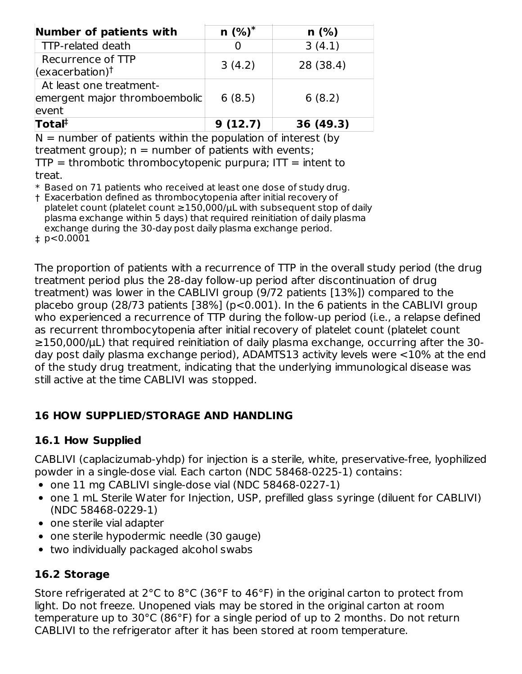| Number of patients with                                           | $n$ (%) <sup>*</sup> | n(%)      |
|-------------------------------------------------------------------|----------------------|-----------|
| <b>TTP-related death</b>                                          |                      | 3(4.1)    |
| Recurrence of TTP<br>$(exacerbation)$ <sup>†</sup>                | 3(4.2)               | 28 (38.4) |
| At least one treatment-<br>emergent major thromboembolic<br>event | 6(8.5)               | 6(8.2)    |
| $\mathsf{T}$ otal $\mathsf{F}$                                    | 9(12.7)              | 36 (49.3) |

 $N =$  number of patients within the population of interest (by treatment group);  $n =$  number of patients with events;  $TTP =$  thrombotic thrombocytopenic purpura;  $IT =$  intent to treat.

 $\,^*$  Based on 71 patients who received at least one dose of study drug.

† Exacerbation defined as thrombocytopenia after initial recovery of platelet count (platelet count ≥150,000/µL with subsequent stop of daily plasma exchange within 5 days) that required reinitiation of daily plasma exchange during the 30-day post daily plasma exchange period.

‡ p<0.0001

The proportion of patients with a recurrence of TTP in the overall study period (the drug treatment period plus the 28-day follow-up period after discontinuation of drug treatment) was lower in the CABLIVI group (9/72 patients [13%]) compared to the placebo group (28/73 patients [38%] (p<0.001). In the 6 patients in the CABLIVI group who experienced a recurrence of TTP during the follow-up period (i.e., a relapse defined as recurrent thrombocytopenia after initial recovery of platelet count (platelet count ≥150,000/µL) that required reinitiation of daily plasma exchange, occurring after the 30 day post daily plasma exchange period), ADAMTS13 activity levels were <10% at the end of the study drug treatment, indicating that the underlying immunological disease was still active at the time CABLIVI was stopped.

### **16 HOW SUPPLIED/STORAGE AND HANDLING**

#### **16.1 How Supplied**

CABLIVI (caplacizumab-yhdp) for injection is a sterile, white, preservative-free, lyophilized powder in a single-dose vial. Each carton (NDC 58468-0225-1) contains:

- one 11 mg CABLIVI single-dose vial (NDC 58468-0227-1)
- one 1 mL Sterile Water for Injection, USP, prefilled glass syringe (diluent for CABLIVI) (NDC 58468-0229-1)
- one sterile vial adapter
- one sterile hypodermic needle (30 gauge)
- two individually packaged alcohol swabs

### **16.2 Storage**

Store refrigerated at 2°C to 8°C (36°F to 46°F) in the original carton to protect from light. Do not freeze. Unopened vials may be stored in the original carton at room temperature up to 30°C (86°F) for a single period of up to 2 months. Do not return CABLIVI to the refrigerator after it has been stored at room temperature.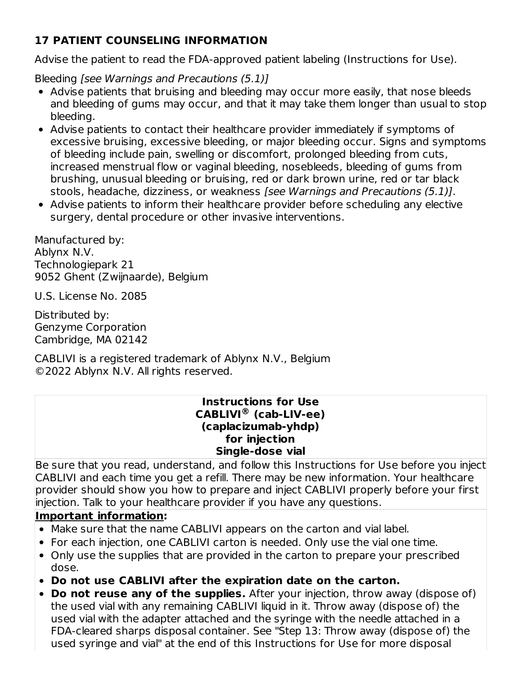## **17 PATIENT COUNSELING INFORMATION**

Advise the patient to read the FDA-approved patient labeling (Instructions for Use).

Bleeding [see Warnings and Precautions (5.1)]

- Advise patients that bruising and bleeding may occur more easily, that nose bleeds and bleeding of gums may occur, and that it may take them longer than usual to stop bleeding.
- Advise patients to contact their healthcare provider immediately if symptoms of excessive bruising, excessive bleeding, or major bleeding occur. Signs and symptoms of bleeding include pain, swelling or discomfort, prolonged bleeding from cuts, increased menstrual flow or vaginal bleeding, nosebleeds, bleeding of gums from brushing, unusual bleeding or bruising, red or dark brown urine, red or tar black stools, headache, dizziness, or weakness [see Warnings and Precautions (5.1)].
- Advise patients to inform their healthcare provider before scheduling any elective surgery, dental procedure or other invasive interventions.

Manufactured by: Ablynx N.V. Technologiepark 21 9052 Ghent (Zwijnaarde), Belgium

U.S. License No. 2085

Distributed by: Genzyme Corporation Cambridge, MA 02142

CABLIVI is a registered trademark of Ablynx N.V., Belgium ©2022 Ablynx N.V. All rights reserved.

#### **Instructions for Use CABLIVI (cab-LIV-ee) ®(caplacizumab-yhdp) for injection Single-dose vial**

Be sure that you read, understand, and follow this Instructions for Use before you inject CABLIVI and each time you get a refill. There may be new information. Your healthcare provider should show you how to prepare and inject CABLIVI properly before your first injection. Talk to your healthcare provider if you have any questions.

### **Important information:**

- Make sure that the name CABLIVI appears on the carton and vial label.
- For each injection, one CABLIVI carton is needed. Only use the vial one time.
- Only use the supplies that are provided in the carton to prepare your prescribed dose.
- **Do not use CABLIVI after the expiration date on the carton.**
- **Do not reuse any of the supplies.** After your injection, throw away (dispose of) the used vial with any remaining CABLIVI liquid in it. Throw away (dispose of) the used vial with the adapter attached and the syringe with the needle attached in a FDA-cleared sharps disposal container. See "Step 13: Throw away (dispose of) the used syringe and vial" at the end of this Instructions for Use for more disposal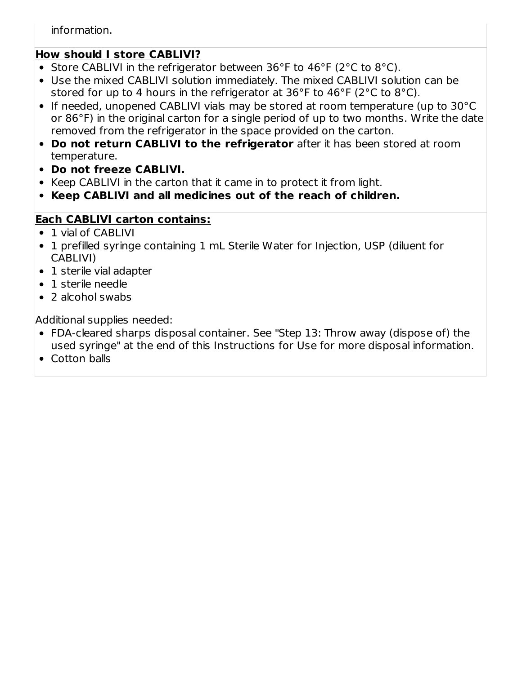information.

## **How should I store CABLIVI?**

- Store CABLIVI in the refrigerator between 36°F to 46°F (2°C to 8°C).
- Use the mixed CABLIVI solution immediately. The mixed CABLIVI solution can be stored for up to 4 hours in the refrigerator at 36°F to 46°F (2°C to 8°C).
- If needed, unopened CABLIVI vials may be stored at room temperature (up to 30°C or 86°F) in the original carton for a single period of up to two months. Write the date removed from the refrigerator in the space provided on the carton.
- **Do not return CABLIVI to the refrigerator** after it has been stored at room temperature.
- **Do not freeze CABLIVI.**
- Keep CABLIVI in the carton that it came in to protect it from light.
- **Keep CABLIVI and all medicines out of the reach of children.**

## **Each CABLIVI carton contains:**

- 1 vial of CABLIVI
- 1 prefilled syringe containing 1 mL Sterile Water for Injection, USP (diluent for CABLIVI)
- 1 sterile vial adapter
- 1 sterile needle
- 2 alcohol swabs

Additional supplies needed:

- FDA-cleared sharps disposal container. See "Step 13: Throw away (dispose of) the used syringe" at the end of this Instructions for Use for more disposal information.
- Cotton balls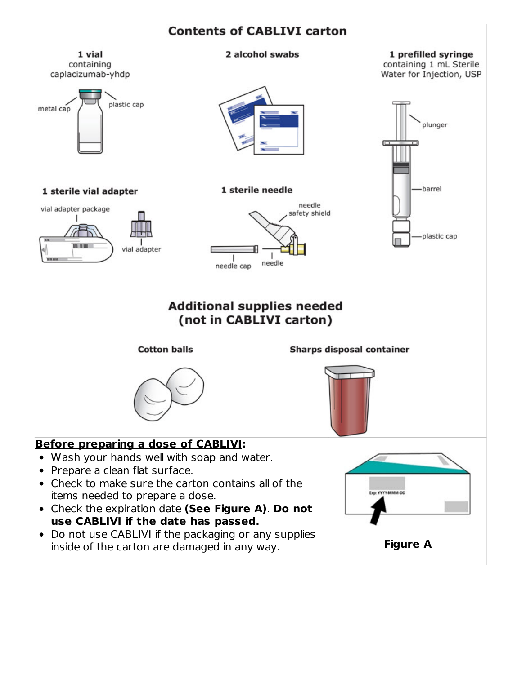#### **Contents of CABLIVI carton**

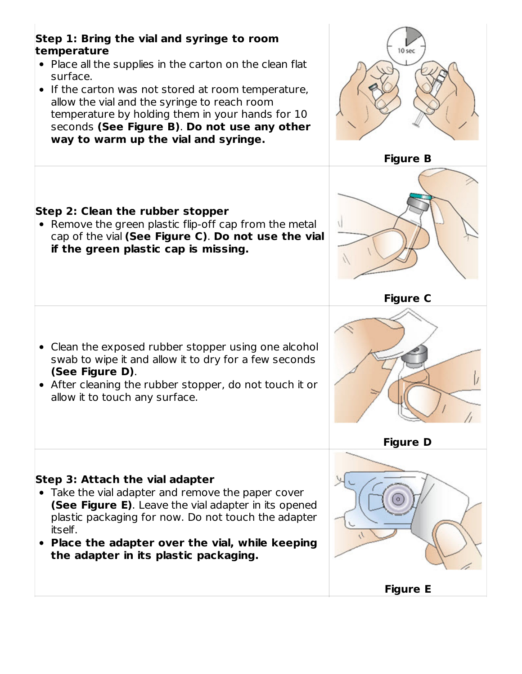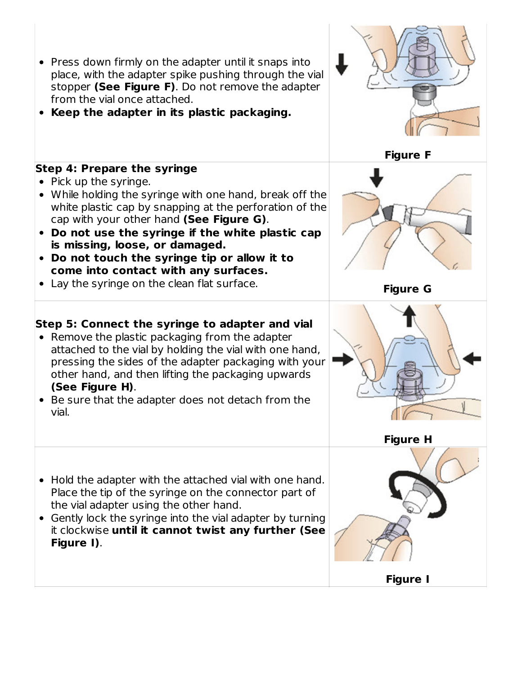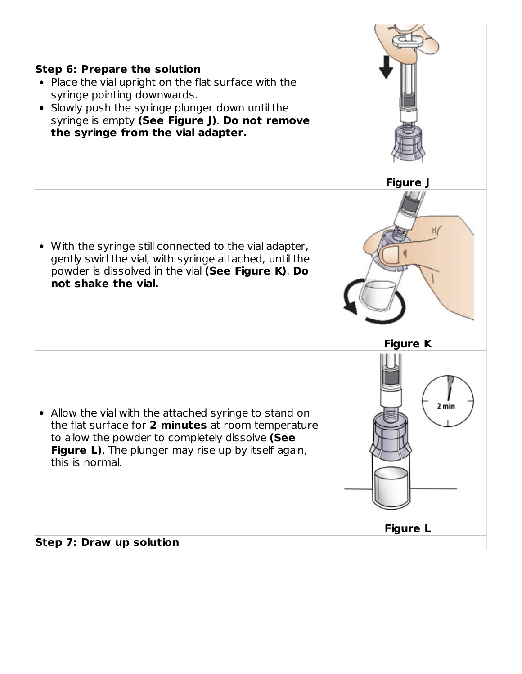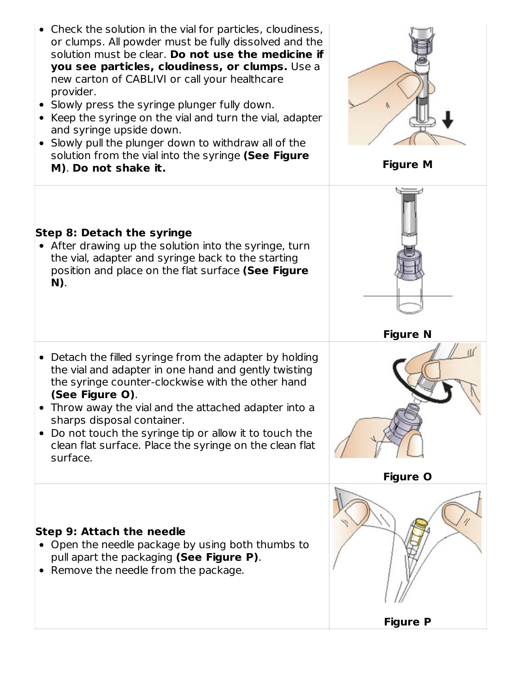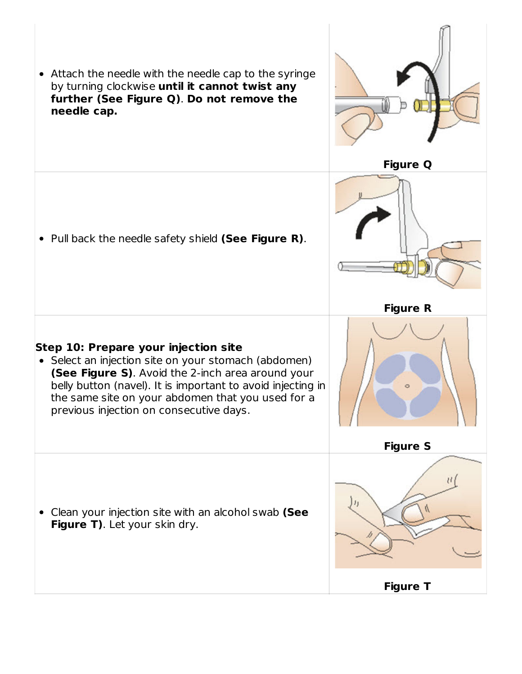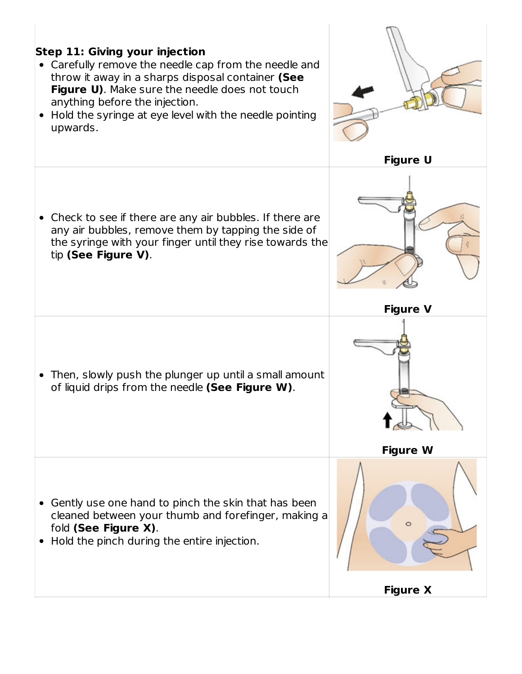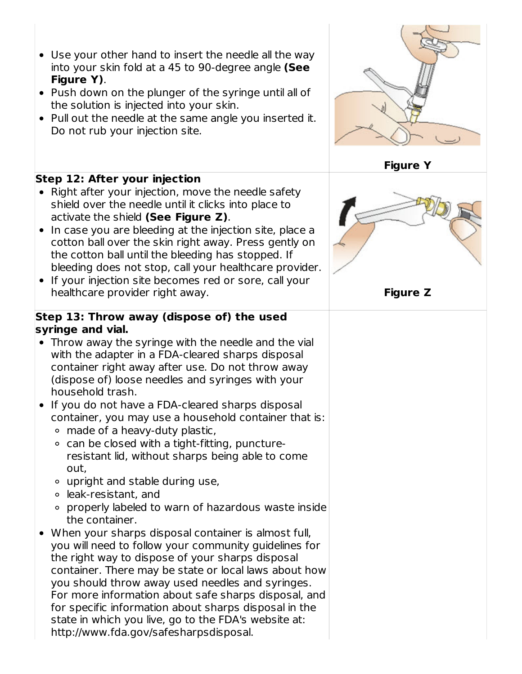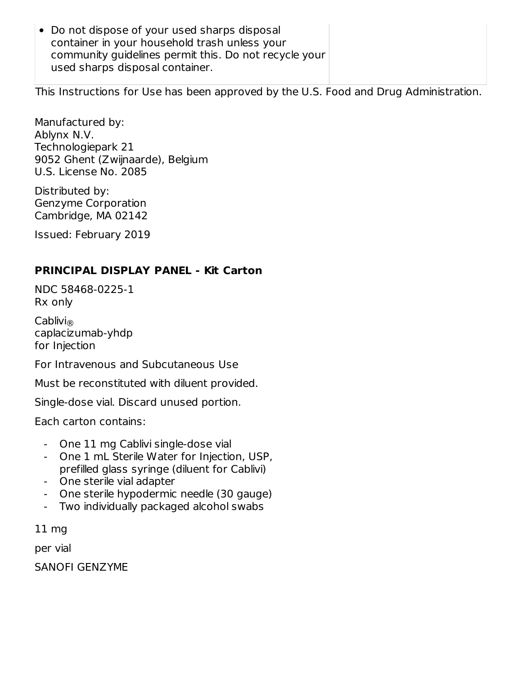Do not dispose of your used sharps disposal container in your household trash unless your community guidelines permit this. Do not recycle your used sharps disposal container.

This Instructions for Use has been approved by the U.S. Food and Drug Administration.

Manufactured by: Ablynx N.V. Technologiepark 21 9052 Ghent (Zwijnaarde), Belgium U.S. License No. 2085

Distributed by: Genzyme Corporation Cambridge, MA 02142

Issued: February 2019

#### **PRINCIPAL DISPLAY PANEL - Kit Carton**

NDC 58468-0225-1 Rx only

Cablivi ® caplacizumab-yhdp for Injection

For Intravenous and Subcutaneous Use

Must be reconstituted with diluent provided.

Single-dose vial. Discard unused portion.

Each carton contains:

- One 11 mg Cablivi single-dose vial
- One 1 mL Sterile Water for Injection, USP, prefilled glass syringe (diluent for Cablivi)
- One sterile vial adapter
- One sterile hypodermic needle (30 gauge)
- Two individually packaged alcohol swabs

11 mg

per vial

SANOFI GENZYME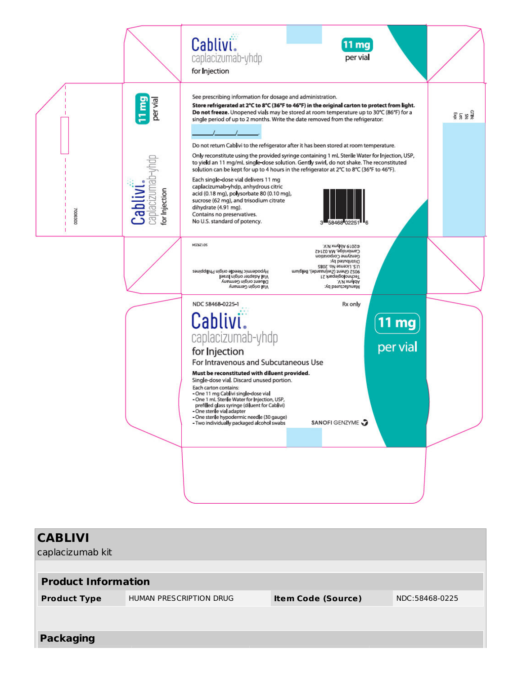

| <b>CABLIVI</b><br>caplacizumab kit |                                |                           |                |
|------------------------------------|--------------------------------|---------------------------|----------------|
| <b>Product Information</b>         |                                |                           |                |
| <b>Product Type</b>                | <b>HUMAN PRESCRIPTION DRUG</b> | <b>Item Code (Source)</b> | NDC:58468-0225 |
|                                    |                                |                           |                |
| <b>Packaging</b>                   |                                |                           |                |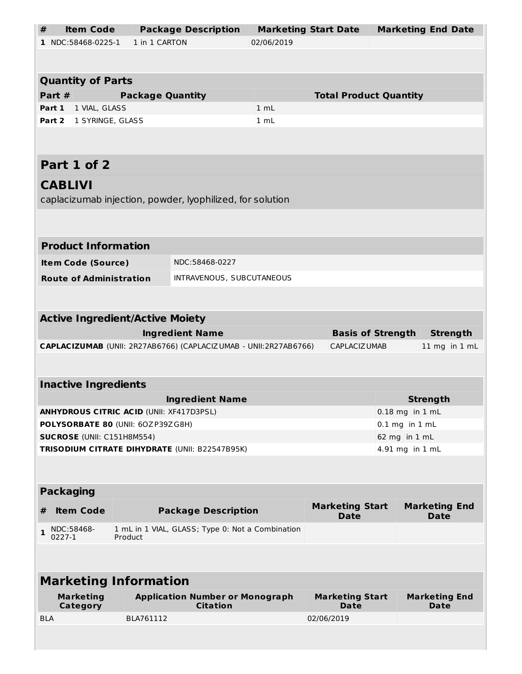| <b>Item Code</b><br>#                                                 |                                                                                                    | <b>Package Description</b>                                | <b>Marketing Start Date</b> |            |                                       | <b>Marketing End Date</b> |                                     |  |
|-----------------------------------------------------------------------|----------------------------------------------------------------------------------------------------|-----------------------------------------------------------|-----------------------------|------------|---------------------------------------|---------------------------|-------------------------------------|--|
| 1 NDC:58468-0225-1                                                    | 1 in 1 CARTON                                                                                      |                                                           | 02/06/2019                  |            |                                       |                           |                                     |  |
|                                                                       |                                                                                                    |                                                           |                             |            |                                       |                           |                                     |  |
| <b>Quantity of Parts</b>                                              |                                                                                                    |                                                           |                             |            |                                       |                           |                                     |  |
| Part #                                                                | <b>Package Quantity</b>                                                                            |                                                           |                             |            | <b>Total Product Quantity</b>         |                           |                                     |  |
| Part 1<br>1 VIAL, GLASS                                               |                                                                                                    |                                                           | 1 mL                        |            |                                       |                           |                                     |  |
| Part 2<br>1 SYRINGE, GLASS                                            |                                                                                                    |                                                           | 1 mL                        |            |                                       |                           |                                     |  |
|                                                                       |                                                                                                    |                                                           |                             |            |                                       |                           |                                     |  |
|                                                                       |                                                                                                    |                                                           |                             |            |                                       |                           |                                     |  |
| Part 1 of 2                                                           |                                                                                                    |                                                           |                             |            |                                       |                           |                                     |  |
| <b>CABLIVI</b>                                                        |                                                                                                    |                                                           |                             |            |                                       |                           |                                     |  |
|                                                                       |                                                                                                    | caplacizumab injection, powder, lyophilized, for solution |                             |            |                                       |                           |                                     |  |
|                                                                       |                                                                                                    |                                                           |                             |            |                                       |                           |                                     |  |
|                                                                       |                                                                                                    |                                                           |                             |            |                                       |                           |                                     |  |
| <b>Product Information</b>                                            |                                                                                                    |                                                           |                             |            |                                       |                           |                                     |  |
| <b>Item Code (Source)</b>                                             |                                                                                                    | NDC:58468-0227                                            |                             |            |                                       |                           |                                     |  |
| <b>Route of Administration</b>                                        |                                                                                                    | INTRAVENOUS, SUBCUTANEOUS                                 |                             |            |                                       |                           |                                     |  |
|                                                                       |                                                                                                    |                                                           |                             |            |                                       |                           |                                     |  |
|                                                                       |                                                                                                    |                                                           |                             |            |                                       |                           |                                     |  |
| <b>Active Ingredient/Active Moiety</b>                                |                                                                                                    |                                                           |                             |            |                                       |                           |                                     |  |
| <b>Ingredient Name</b><br><b>Basis of Strength</b><br><b>Strength</b> |                                                                                                    |                                                           |                             |            |                                       |                           |                                     |  |
|                                                                       | CAPLACIZUMAB (UNII: 2R27AB6766) (CAPLACIZUMAB - UNII:2R27AB6766)<br>CAPLACIZ UMAB<br>11 mg in 1 mL |                                                           |                             |            |                                       |                           |                                     |  |
|                                                                       |                                                                                                    |                                                           |                             |            |                                       |                           |                                     |  |
| <b>Inactive Ingredients</b>                                           |                                                                                                    |                                                           |                             |            |                                       |                           |                                     |  |
| <b>Ingredient Name</b><br><b>Strength</b>                             |                                                                                                    |                                                           |                             |            |                                       |                           |                                     |  |
| <b>ANHYDROUS CITRIC ACID (UNII: XF417D3PSL)</b>                       |                                                                                                    |                                                           |                             |            |                                       | $0.18$ mg in $1$ mL       |                                     |  |
| POLYSORBATE 80 (UNII: 60ZP39ZG8H)                                     |                                                                                                    |                                                           |                             |            |                                       | $0.1$ mg in $1$ mL        |                                     |  |
| SUCROSE (UNII: C151H8M554)                                            |                                                                                                    |                                                           |                             |            |                                       |                           | 62 mg in 1 mL                       |  |
|                                                                       |                                                                                                    | TRISODIUM CITRATE DIHYDRATE (UNII: B22547B95K)            |                             |            |                                       |                           | 4.91 mg in 1 mL                     |  |
|                                                                       |                                                                                                    |                                                           |                             |            |                                       |                           |                                     |  |
|                                                                       |                                                                                                    |                                                           |                             |            |                                       |                           |                                     |  |
| <b>Packaging</b>                                                      |                                                                                                    |                                                           |                             |            |                                       |                           |                                     |  |
| <b>Item Code</b><br>#                                                 |                                                                                                    | <b>Package Description</b>                                |                             |            | <b>Marketing Start</b><br><b>Date</b> |                           | <b>Marketing End</b><br><b>Date</b> |  |
| NDC:58468-<br>$\mathbf{1}$                                            |                                                                                                    |                                                           |                             |            |                                       |                           |                                     |  |
| 0227-1                                                                | Product                                                                                            | 1 mL in 1 VIAL, GLASS; Type 0: Not a Combination          |                             |            |                                       |                           |                                     |  |
|                                                                       |                                                                                                    |                                                           |                             |            |                                       |                           |                                     |  |
|                                                                       |                                                                                                    |                                                           |                             |            |                                       |                           |                                     |  |
| <b>Marketing Information</b>                                          |                                                                                                    |                                                           |                             |            |                                       |                           |                                     |  |
| <b>Marketing</b>                                                      |                                                                                                    | <b>Application Number or Monograph</b><br><b>Citation</b> |                             |            | <b>Marketing Start</b><br>Date        |                           | <b>Marketing End</b><br>Date        |  |
| Category<br><b>BLA</b>                                                | BLA761112                                                                                          |                                                           |                             | 02/06/2019 |                                       |                           |                                     |  |
|                                                                       |                                                                                                    |                                                           |                             |            |                                       |                           |                                     |  |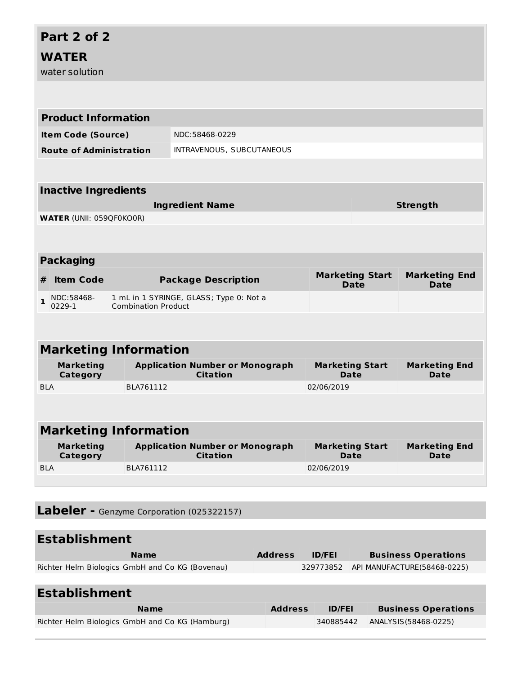| Part 2 of 2                          |                                                                       |                                                           |                                       |                                     |
|--------------------------------------|-----------------------------------------------------------------------|-----------------------------------------------------------|---------------------------------------|-------------------------------------|
| <b>WATER</b><br>water solution       |                                                                       |                                                           |                                       |                                     |
|                                      |                                                                       |                                                           |                                       |                                     |
| <b>Product Information</b>           |                                                                       |                                                           |                                       |                                     |
| <b>Item Code (Source)</b>            |                                                                       | NDC:58468-0229                                            |                                       |                                     |
| <b>Route of Administration</b>       |                                                                       | INTRAVENOUS, SUBCUTANEOUS                                 |                                       |                                     |
|                                      |                                                                       |                                                           |                                       |                                     |
| <b>Inactive Ingredients</b>          |                                                                       |                                                           |                                       |                                     |
|                                      |                                                                       | <b>Ingredient Name</b>                                    |                                       | <b>Strength</b>                     |
| <b>WATER (UNII: 059QF0KO0R)</b>      |                                                                       |                                                           |                                       |                                     |
|                                      |                                                                       |                                                           |                                       |                                     |
| <b>Packaging</b>                     |                                                                       |                                                           |                                       |                                     |
| <b>Item Code</b><br>#                |                                                                       | <b>Package Description</b>                                | <b>Marketing Start</b><br><b>Date</b> | <b>Marketing End</b><br><b>Date</b> |
| NDC:58468-<br>$\mathbf{1}$<br>0229-1 | 1 mL in 1 SYRINGE, GLASS; Type 0: Not a<br><b>Combination Product</b> |                                                           |                                       |                                     |
|                                      |                                                                       |                                                           |                                       |                                     |
| <b>Marketing Information</b>         |                                                                       |                                                           |                                       |                                     |
| <b>Marketing</b><br><b>Category</b>  |                                                                       | <b>Application Number or Monograph</b><br><b>Citation</b> | <b>Marketing Start</b><br><b>Date</b> | <b>Marketing End</b><br>Date        |
| <b>BLA</b>                           | BLA761112                                                             |                                                           | 02/06/2019                            |                                     |
|                                      |                                                                       |                                                           |                                       |                                     |
| <b>Marketing Information</b>         |                                                                       |                                                           |                                       |                                     |
| <b>Marketing</b><br>Category         |                                                                       | <b>Application Number or Monograph</b><br><b>Citation</b> | <b>Marketing Start</b><br><b>Date</b> | <b>Marketing End</b><br><b>Date</b> |
| <b>BLA</b>                           | BLA761112                                                             |                                                           | 02/06/2019                            |                                     |
|                                      |                                                                       |                                                           |                                       |                                     |

**Labeler -** Genzyme Corporation (025322157)

# **Establishment**

| <b>Name</b>                                     | <b>Address</b> | <b>ID/FEI</b> | <b>Business Operations</b>            |
|-------------------------------------------------|----------------|---------------|---------------------------------------|
| Richter Helm Biologics GmbH and Co KG (Bovenau) |                |               | 329773852 API MANUFACTURE(58468-0225) |

# **Establishment**

| <b>ID/FEI</b> | <b>Business Operations</b> |
|---------------|----------------------------|
| 340885442     | ANALYSIS (58468-0225)      |
|               | <b>Address</b>             |